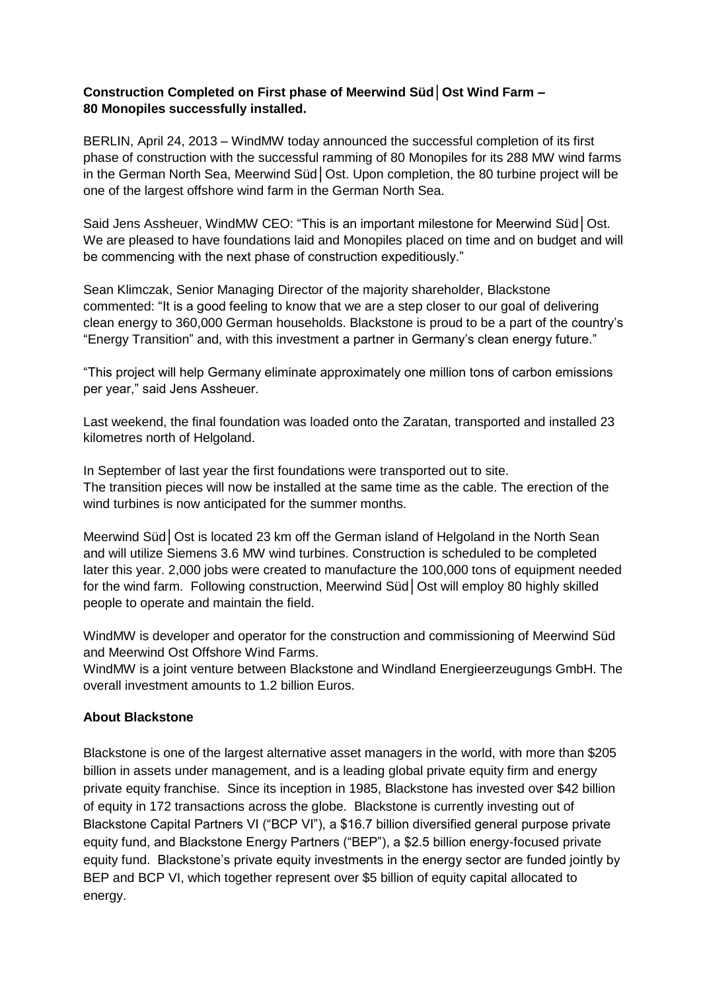# **Construction Completed on First phase of Meerwind Süd│Ost Wind Farm – 80 Monopiles successfully installed.**

BERLIN, April 24, 2013 – WindMW today announced the successful completion of its first phase of construction with the successful ramming of 80 Monopiles for its 288 MW wind farms in the German North Sea, Meerwind Süd│Ost. Upon completion, the 80 turbine project will be one of the largest offshore wind farm in the German North Sea.

Said Jens Assheuer, WindMW CEO: "This is an important milestone for Meerwind Süd│Ost. We are pleased to have foundations laid and Monopiles placed on time and on budget and will be commencing with the next phase of construction expeditiously."

Sean Klimczak, Senior Managing Director of the majority shareholder, Blackstone commented: "It is a good feeling to know that we are a step closer to our goal of delivering clean energy to 360,000 German households. Blackstone is proud to be a part of the country's "Energy Transition" and, with this investment a partner in Germany's clean energy future."

"This project will help Germany eliminate approximately one million tons of carbon emissions per year," said Jens Assheuer.

Last weekend, the final foundation was loaded onto the Zaratan, transported and installed 23 kilometres north of Helgoland.

In September of last year the first foundations were transported out to site. The transition pieces will now be installed at the same time as the cable. The erection of the wind turbines is now anticipated for the summer months.

Meerwind Süd Ost is located 23 km off the German island of Helgoland in the North Sean and will utilize Siemens 3.6 MW wind turbines. Construction is scheduled to be completed later this year. 2,000 jobs were created to manufacture the 100,000 tons of equipment needed for the wind farm. Following construction, Meerwind Süd Ost will employ 80 highly skilled people to operate and maintain the field.

WindMW is developer and operator for the construction and commissioning of Meerwind Süd and Meerwind Ost Offshore Wind Farms.

WindMW is a joint venture between Blackstone and Windland Energieerzeugungs GmbH. The overall investment amounts to 1.2 billion Euros.

# **About Blackstone**

Blackstone is one of the largest alternative asset managers in the world, with more than \$205 billion in assets under management, and is a leading global private equity firm and energy private equity franchise. Since its inception in 1985, Blackstone has invested over \$42 billion of equity in 172 transactions across the globe. Blackstone is currently investing out of Blackstone Capital Partners VI ("BCP VI"), a \$16.7 billion diversified general purpose private equity fund, and Blackstone Energy Partners ("BEP"), a \$2.5 billion energy-focused private equity fund. Blackstone's private equity investments in the energy sector are funded jointly by BEP and BCP VI, which together represent over \$5 billion of equity capital allocated to energy.